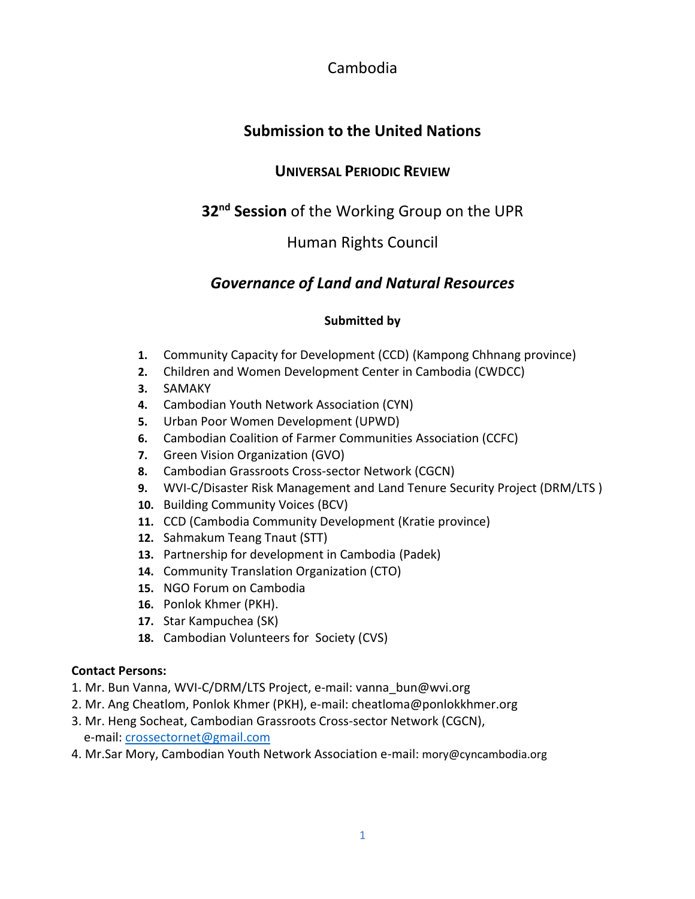Cambodia

# <span id="page-0-0"></span>**Submission to the United Nations**

## **UNIVERSAL PERIODIC REVIEW**

# **32nd Session** of the Working Group on the UPR

## Human Rights Council

## *Governance of Land and Natural Resources*

## **Submitted by**

- **1.** Community Capacity for Development (CCD) (Kampong Chhnang province)
- **2.** Children and Women Development Center in Cambodia (CWDCC)
- **3.** SAMAKY
- **4.** Cambodian Youth Network Association (CYN)
- **5.** Urban Poor Women Development (UPWD)
- **6.** Cambodian Coalition of Farmer Communities Association (CCFC)
- **7.** Green Vision Organization (GVO)
- **8.** Cambodian Grassroots Cross-sector Network (CGCN)
- **9.** WVI-C/Disaster Risk Management and Land Tenure Security Project (DRM/LTS )
- **10.** Building Community Voices (BCV)
- **11.** CCD (Cambodia Community Development (Kratie province)
- **12.** Sahmakum Teang Tnaut (STT)
- **13.** Partnership for development in Cambodia (Padek)
- **14.** Community Translation Organization (CTO)
- **15.** NGO Forum on Cambodia
- **16.** Ponlok Khmer (PKH).
- **17.** Star Kampuchea (SK)
- **18.** Cambodian Volunteers for Society (CVS)

### **Contact Persons:**

- 1. Mr. Bun Vanna, WVI-C/DRM/LTS Project, e-mail: [vanna\\_bun@wvi.org](mailto:vanna_bun@wvi.org)
- 2. Mr. Ang Cheatlom, Ponlok Khmer (PKH), e-mail: [cheatloma@ponlokkhmer.org](mailto:cheatloma@ponlokkhmer.org)
- 3. Mr. Heng Socheat, Cambodian Grassroots Cross-sector Network (CGCN), e-mail: [crossectornet@gmail.com](mailto:crossectornet@gmail.com)
- 4. Mr.Sar Mory, Cambodian Youth Network Association e-mail: mory@cyncambodia.org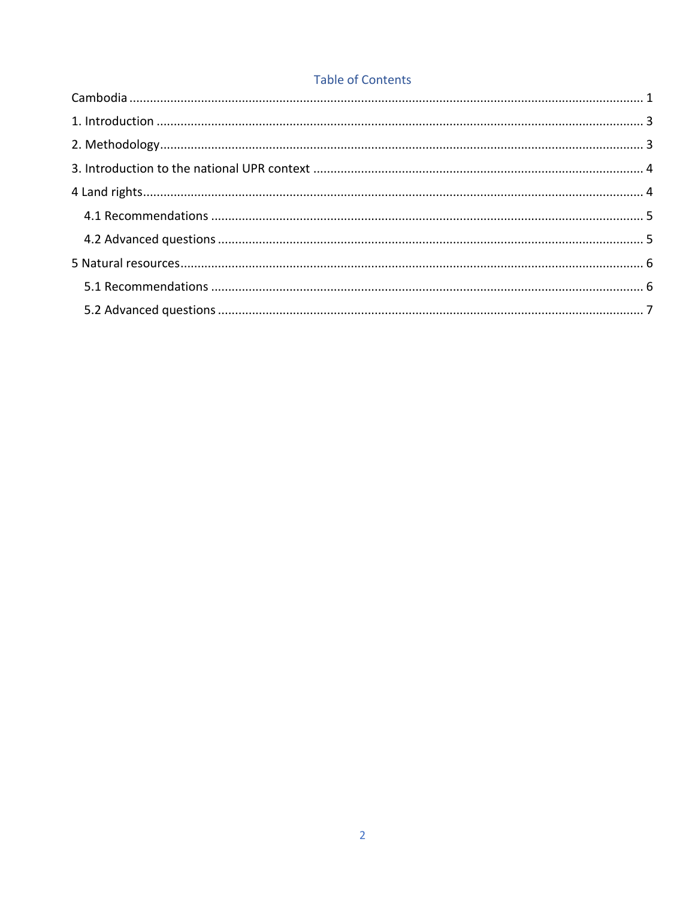## **Table of Contents**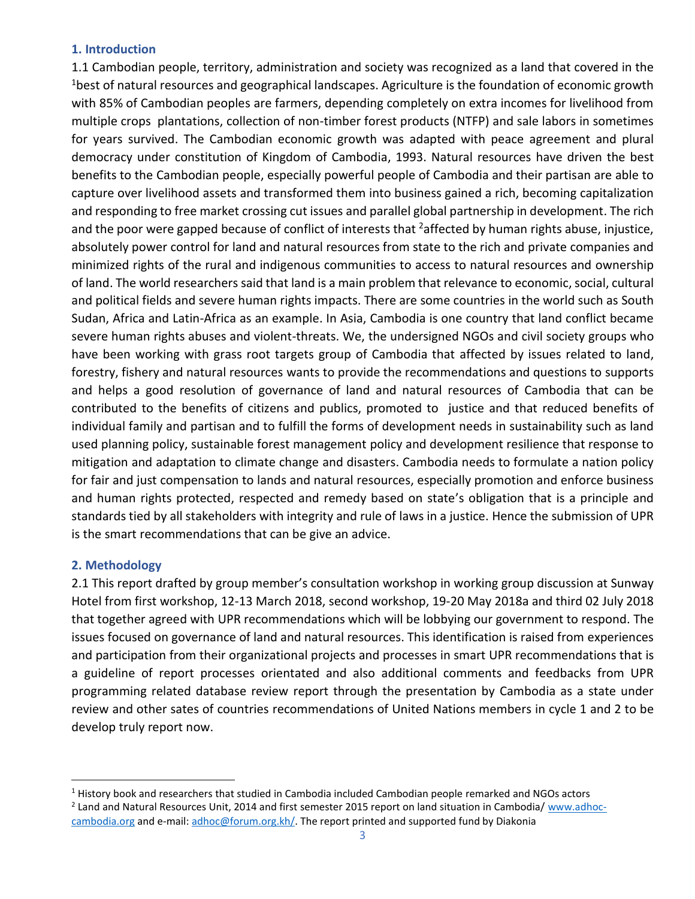#### <span id="page-2-0"></span>**1. Introduction**

1.1 Cambodian people, territory, administration and society was recognized as a land that covered in the <sup>1</sup>best of natural resources and geographical landscapes. Agriculture is the foundation of economic growth with 85% of Cambodian peoples are farmers, depending completely on extra incomes for livelihood from multiple crops plantations, collection of non-timber forest products (NTFP) and sale labors in sometimes for years survived. The Cambodian economic growth was adapted with peace agreement and plural democracy under constitution of Kingdom of Cambodia, 1993. Natural resources have driven the best benefits to the Cambodian people, especially powerful people of Cambodia and their partisan are able to capture over livelihood assets and transformed them into business gained a rich, becoming capitalization and responding to free market crossing cut issues and parallel global partnership in development. The rich and the poor were gapped because of conflict of interests that  $2$ affected by human rights abuse, injustice, absolutely power control for land and natural resources from state to the rich and private companies and minimized rights of the rural and indigenous communities to access to natural resources and ownership of land. The world researchers said that land is a main problem that relevance to economic, social, cultural and political fields and severe human rights impacts. There are some countries in the world such as South Sudan, Africa and Latin-Africa as an example. In Asia, Cambodia is one country that land conflict became severe human rights abuses and violent-threats. We, the undersigned NGOs and civil society groups who have been working with grass root targets group of Cambodia that affected by issues related to land, forestry, fishery and natural resources wants to provide the recommendations and questions to supports and helps a good resolution of governance of land and natural resources of Cambodia that can be contributed to the benefits of citizens and publics, promoted to justice and that reduced benefits of individual family and partisan and to fulfill the forms of development needs in sustainability such as land used planning policy, sustainable forest management policy and development resilience that response to mitigation and adaptation to climate change and disasters. Cambodia needs to formulate a nation policy for fair and just compensation to lands and natural resources, especially promotion and enforce business and human rights protected, respected and remedy based on state's obligation that is a principle and standards tied by all stakeholders with integrity and rule of laws in a justice. Hence the submission of UPR is the smart recommendations that can be give an advice.

#### <span id="page-2-1"></span>**2. Methodology**

l

2.1 This report drafted by group member's consultation workshop in working group discussion at Sunway Hotel from first workshop, 12-13 March 2018, second workshop, 19-20 May 2018a and third 02 July 2018 that together agreed with UPR recommendations which will be lobbying our government to respond. The issues focused on governance of land and natural resources. This identification is raised from experiences and participation from their organizational projects and processes in smart UPR recommendations that is a guideline of report processes orientated and also additional comments and feedbacks from UPR programming related database review report through the presentation by Cambodia as a state under review and other sates of countries recommendations of United Nations members in cycle 1 and 2 to be develop truly report now.

<sup>1</sup> History book and researchers that studied in Cambodia included Cambodian people remarked and NGOs actors

<sup>&</sup>lt;sup>2</sup> Land and Natural Resources Unit, 2014 and first semester 2015 report on land situation in Cambodia/ [www.adhoc](http://www.adhoc-cambodia.org/)[cambodia.org](http://www.adhoc-cambodia.org/) and e-mail: [adhoc@forum.org.kh/.](mailto:adhoc@forum.org.kh/) The report printed and supported fund by Diakonia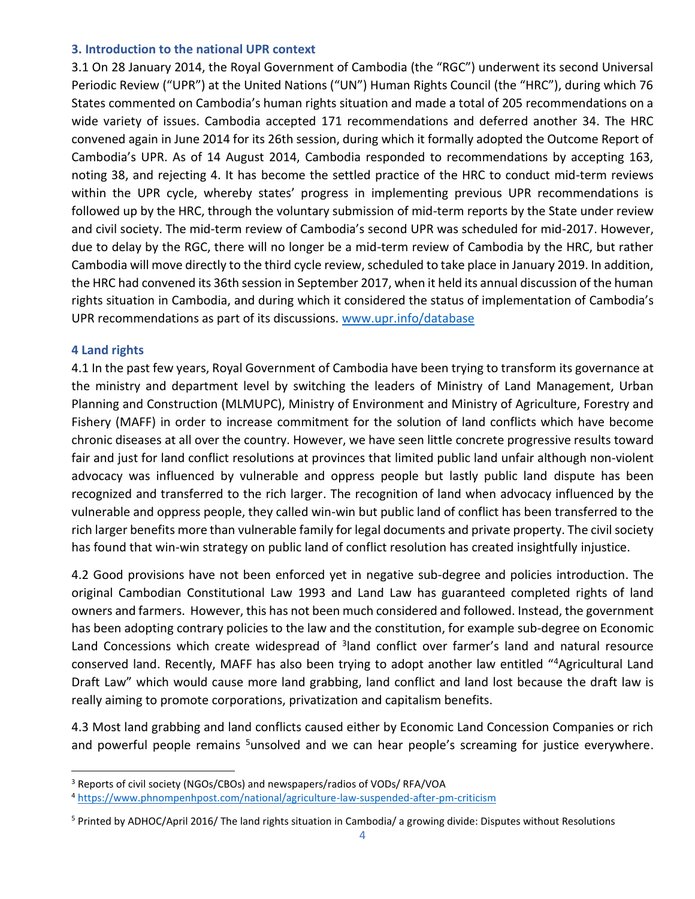#### <span id="page-3-0"></span>**3. Introduction to the national UPR context**

3.1 On 28 January 2014, the Royal Government of Cambodia (the "RGC") underwent its second Universal Periodic Review ("UPR") at the United Nations ("UN") Human Rights Council (the "HRC"), during which 76 States commented on Cambodia's human rights situation and made a total of 205 recommendations on a wide variety of issues. Cambodia accepted 171 recommendations and deferred another 34. The HRC convened again in June 2014 for its 26th session, during which it formally adopted the Outcome Report of Cambodia's UPR. As of 14 August 2014, Cambodia responded to recommendations by accepting 163, noting 38, and rejecting 4. It has become the settled practice of the HRC to conduct mid-term reviews within the UPR cycle, whereby states' progress in implementing previous UPR recommendations is followed up by the HRC, through the voluntary submission of mid-term reports by the State under review and civil society. The mid-term review of Cambodia's second UPR was scheduled for mid-2017. However, due to delay by the RGC, there will no longer be a mid-term review of Cambodia by the HRC, but rather Cambodia will move directly to the third cycle review, scheduled to take place in January 2019. In addition, the HRC had convened its 36th session in September 2017, when it held its annual discussion of the human rights situation in Cambodia, and during which it considered the status of implementation of Cambodia's UPR recommendations as part of its discussions. [www.upr.info/database](https://www.upr-info.org/en)

#### <span id="page-3-1"></span>**4 Land rights**

 $\overline{\phantom{a}}$ 

4.1 In the past few years, Royal Government of Cambodia have been trying to transform its governance at the ministry and department level by switching the leaders of Ministry of Land Management, Urban Planning and Construction (MLMUPC), Ministry of Environment and Ministry of Agriculture, Forestry and Fishery (MAFF) in order to increase commitment for the solution of land conflicts which have become chronic diseases at all over the country. However, we have seen little concrete progressive results toward fair and just for land conflict resolutions at provinces that limited public land unfair although non-violent advocacy was influenced by vulnerable and oppress people but lastly public land dispute has been recognized and transferred to the rich larger. The recognition of land when advocacy influenced by the vulnerable and oppress people, they called win-win but public land of conflict has been transferred to the rich larger benefits more than vulnerable family for legal documents and private property. The civil society has found that win-win strategy on public land of conflict resolution has created insightfully injustice.

4.2 Good provisions have not been enforced yet in negative sub-degree and policies introduction. The original Cambodian Constitutional Law 1993 and Land Law has guaranteed completed rights of land owners and farmers. However, this has not been much considered and followed. Instead, the government has been adopting contrary policies to the law and the constitution, for example sub-degree on Economic Land Concessions which create widespread of <sup>3</sup>land conflict over farmer's land and natural resource conserved land. Recently, MAFF has also been trying to adopt another law entitled "<sup>4</sup>Agricultural Land Draft Law" which would cause more land grabbing, land conflict and land lost because the draft law is really aiming to promote corporations, privatization and capitalism benefits.

4.3 Most land grabbing and land conflicts caused either by Economic Land Concession Companies or rich and powerful people remains <sup>5</sup>unsolved and we can hear people's screaming for justice everywhere.

<sup>&</sup>lt;sup>3</sup> Reports of civil society (NGOs/CBOs) and newspapers/radios of VODs/ RFA/VOA

<sup>4</sup> <https://www.phnompenhpost.com/national/agriculture-law-suspended-after-pm-criticism>

 $5$  Printed by ADHOC/April 2016/ The land rights situation in Cambodia/ a growing divide: Disputes without Resolutions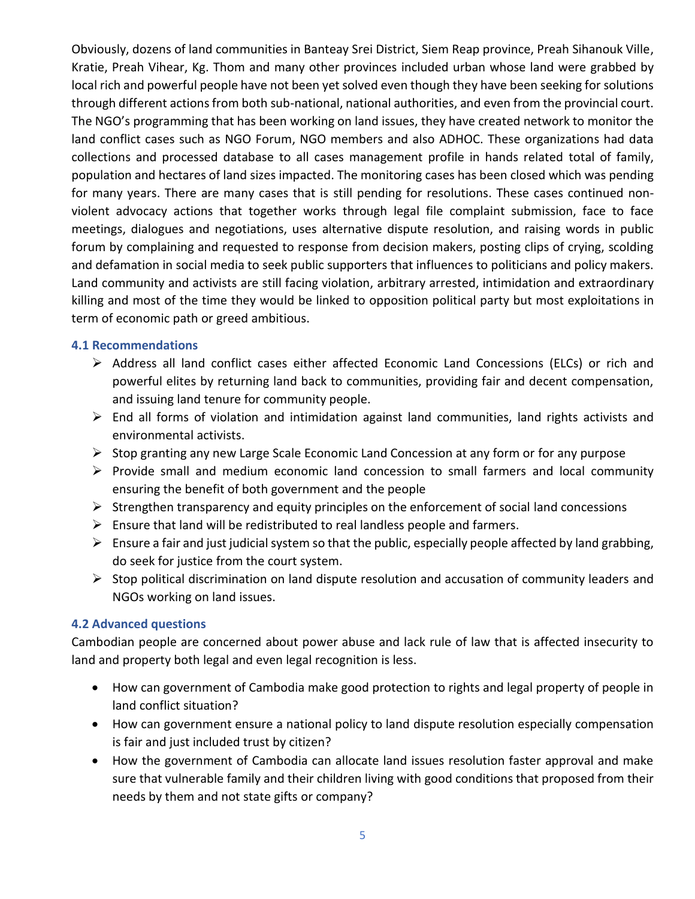Obviously, dozens of land communities in Banteay Srei District, Siem Reap province, Preah Sihanouk Ville, Kratie, Preah Vihear, Kg. Thom and many other provinces included urban whose land were grabbed by local rich and powerful people have not been yet solved even though they have been seeking for solutions through different actions from both sub-national, national authorities, and even from the provincial court. The NGO's programming that has been working on land issues, they have created network to monitor the land conflict cases such as NGO Forum, NGO members and also ADHOC. These organizations had data collections and processed database to all cases management profile in hands related total of family, population and hectares of land sizes impacted. The monitoring cases has been closed which was pending for many years. There are many cases that is still pending for resolutions. These cases continued nonviolent advocacy actions that together works through legal file complaint submission, face to face meetings, dialogues and negotiations, uses alternative dispute resolution, and raising words in public forum by complaining and requested to response from decision makers, posting clips of crying, scolding and defamation in social media to seek public supporters that influences to politicians and policy makers. Land community and activists are still facing violation, arbitrary arrested, intimidation and extraordinary killing and most of the time they would be linked to opposition political party but most exploitations in term of economic path or greed ambitious.

#### <span id="page-4-0"></span>**4.1 Recommendations**

- $\triangleright$  Address all land conflict cases either affected Economic Land Concessions (ELCs) or rich and powerful elites by returning land back to communities, providing fair and decent compensation, and issuing land tenure for community people.
- $\triangleright$  End all forms of violation and intimidation against land communities, land rights activists and environmental activists.
- $\triangleright$  Stop granting any new Large Scale Economic Land Concession at any form or for any purpose
- $\triangleright$  Provide small and medium economic land concession to small farmers and local community ensuring the benefit of both government and the people
- $\triangleright$  Strengthen transparency and equity principles on the enforcement of social land concessions
- $\triangleright$  Ensure that land will be redistributed to real landless people and farmers.
- $\triangleright$  Ensure a fair and just judicial system so that the public, especially people affected by land grabbing, do seek for justice from the court system.
- $\triangleright$  Stop political discrimination on land dispute resolution and accusation of community leaders and NGOs working on land issues.

#### <span id="page-4-1"></span>**4.2 Advanced questions**

Cambodian people are concerned about power abuse and lack rule of law that is affected insecurity to land and property both legal and even legal recognition is less.

- How can government of Cambodia make good protection to rights and legal property of people in land conflict situation?
- How can government ensure a national policy to land dispute resolution especially compensation is fair and just included trust by citizen?
- How the government of Cambodia can allocate land issues resolution faster approval and make sure that vulnerable family and their children living with good conditions that proposed from their needs by them and not state gifts or company?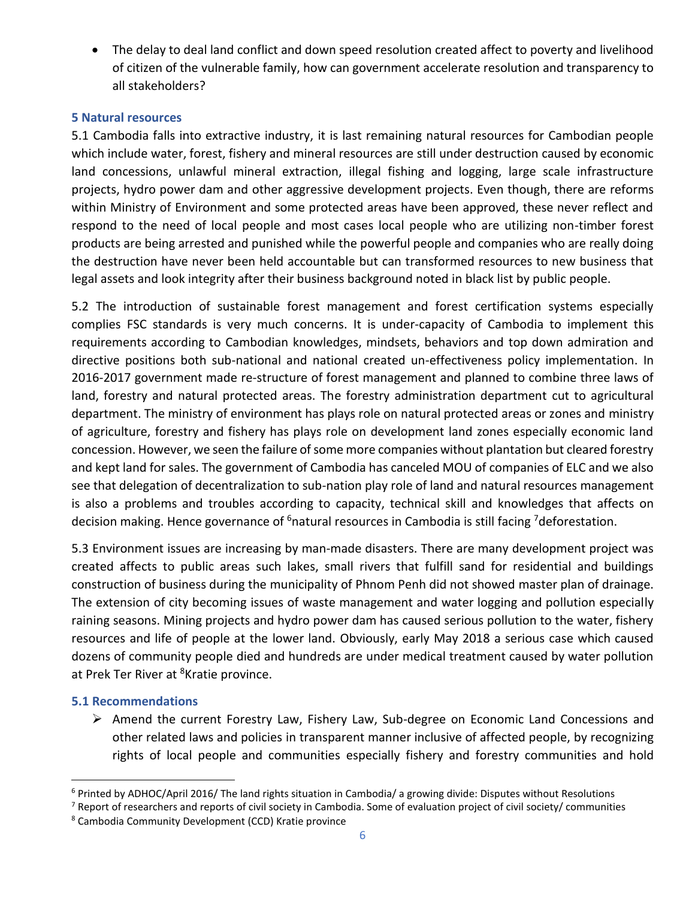The delay to deal land conflict and down speed resolution created affect to poverty and livelihood of citizen of the vulnerable family, how can government accelerate resolution and transparency to all stakeholders?

#### <span id="page-5-0"></span>**5 Natural resources**

5.1 Cambodia falls into extractive industry, it is last remaining natural resources for Cambodian people which include water, forest, fishery and mineral resources are still under destruction caused by economic land concessions, unlawful mineral extraction, illegal fishing and logging, large scale infrastructure projects, hydro power dam and other aggressive development projects. Even though, there are reforms within Ministry of Environment and some protected areas have been approved, these never reflect and respond to the need of local people and most cases local people who are utilizing non-timber forest products are being arrested and punished while the powerful people and companies who are really doing the destruction have never been held accountable but can transformed resources to new business that legal assets and look integrity after their business background noted in black list by public people.

5.2 The introduction of sustainable forest management and forest certification systems especially complies FSC standards is very much concerns. It is under-capacity of Cambodia to implement this requirements according to Cambodian knowledges, mindsets, behaviors and top down admiration and directive positions both sub-national and national created un-effectiveness policy implementation. In 2016-2017 government made re-structure of forest management and planned to combine three laws of land, forestry and natural protected areas. The forestry administration department cut to agricultural department. The ministry of environment has plays role on natural protected areas or zones and ministry of agriculture, forestry and fishery has plays role on development land zones especially economic land concession. However, we seen the failure of some more companies without plantation but cleared forestry and kept land for sales. The government of Cambodia has canceled MOU of companies of ELC and we also see that delegation of decentralization to sub-nation play role of land and natural resources management is also a problems and troubles according to capacity, technical skill and knowledges that affects on decision making. Hence governance of <sup>6</sup>natural resources in Cambodia is still facing <sup>7</sup>deforestation.

5.3 Environment issues are increasing by man-made disasters. There are many development project was created affects to public areas such lakes, small rivers that fulfill sand for residential and buildings construction of business during the municipality of Phnom Penh did not showed master plan of drainage. The extension of city becoming issues of waste management and water logging and pollution especially raining seasons. Mining projects and hydro power dam has caused serious pollution to the water, fishery resources and life of people at the lower land. Obviously, early May 2018 a serious case which caused dozens of community people died and hundreds are under medical treatment caused by water pollution at Prek Ter River at <sup>8</sup>Kratie province.

### <span id="page-5-1"></span>**5.1 Recommendations**

l

 $\triangleright$  Amend the current Forestry Law, Fishery Law, Sub-degree on Economic Land Concessions and other related laws and policies in transparent manner inclusive of affected people, by recognizing rights of local people and communities especially fishery and forestry communities and hold

 $6$  Printed by ADHOC/April 2016/ The land rights situation in Cambodia/ a growing divide: Disputes without Resolutions

<sup>&</sup>lt;sup>7</sup> Report of researchers and reports of civil society in Cambodia. Some of evaluation project of civil society/ communities

<sup>8</sup> Cambodia Community Development (CCD) Kratie province